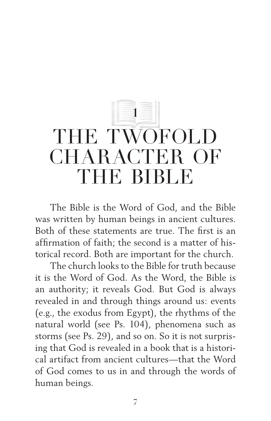## **1** THE TWOFOLD CHARACTER OF THE BIBLE

The Bible is the Word of God, and the Bible was written by human beings in ancient cultures. Both of these statements are true. The first is an affirmation of faith; the second is a matter of historical record. Both are important for the church.

The church looks to the Bible for truth because it is the Word of God. As the Word, the Bible is an authority; it reveals God. But God is always revealed in and through things around us: events (e.g., the exodus from Egypt), the rhythms of the natural world (see Ps. 104), phenomena such as storms (see Ps. 29), and so on. So it is not surprising that God is revealed in a book that is a historical artifact from ancient cultures—that the Word of God comes to us in and through the words of human beings.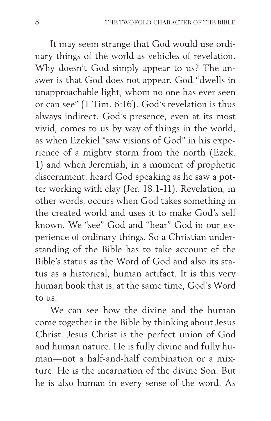It may seem strange that God would use ordinary things of the world as vehicles of revelation. Why doesn't God simply appear to us? The answer is that God does not appear. God "dwells in unapproachable light, whom no one has ever seen or can see" (1 Tim. 6:16). God's revelation is thus always indirect. God's presence, even at its most vivid, comes to us by way of things in the world, as when Ezekiel "saw visions of God" in his experience of a mighty storm from the north (Ezek. 1) and when Jeremiah, in a moment of prophetic discernment, heard God speaking as he saw a potter working with clay (Jer. 18:1-11). Revelation, in other words, occurs when God takes something in the created world and uses it to make God's self known. We "see" God and "hear" God in our experience of ordinary things. So a Christian understanding of the Bible has to take account of the Bible's status as the Word of God and also its status as a historical, human artifact. It is this very human book that is, at the same time, God's Word  $\frac{1}{2}$  to  $\frac{1}{2}$  to  $\frac{1}{2}$ 

We can see how the divine and the human come together in the Bible by thinking about Jesus Christ. Jesus Christ is the perfect union of God and human nature. He is fully divine and fully human—not a half-and-half combination or a mixture. He is the incarnation of the divine Son. But he is also human in every sense of the word. As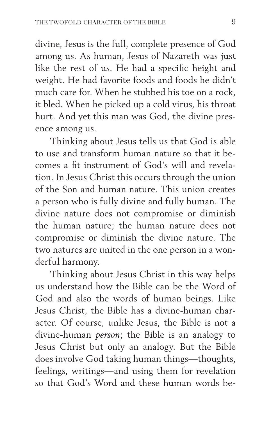divine, Jesus is the full, complete presence of God among us. As human, Jesus of Nazareth was just like the rest of us. He had a specific height and weight. He had favorite foods and foods he didn't much care for. When he stubbed his toe on a rock, it bled. When he picked up a cold virus, his throat hurt. And yet this man was God, the divine presence among us.

Thinking about Jesus tells us that God is able to use and transform human nature so that it becomes a fit instrument of God's will and revelation. In Jesus Christ this occurs through the union of the Son and human nature. This union creates a person who is fully divine and fully human. The divine nature does not compromise or diminish the human nature; the human nature does not compromise or diminish the divine nature. The two natures are united in the one person in a wonderful harmony.

Thinking about Jesus Christ in this way helps us understand how the Bible can be the Word of God and also the words of human beings. Like Jesus Christ, the Bible has a divine-human character. Of course, unlike Jesus, the Bible is not a divine-human *person*; the Bible is an analogy to Jesus Christ but only an analogy. But the Bible does involve God taking human things—thoughts, feelings, writings—and using them for revelation so that God's Word and these human words be-